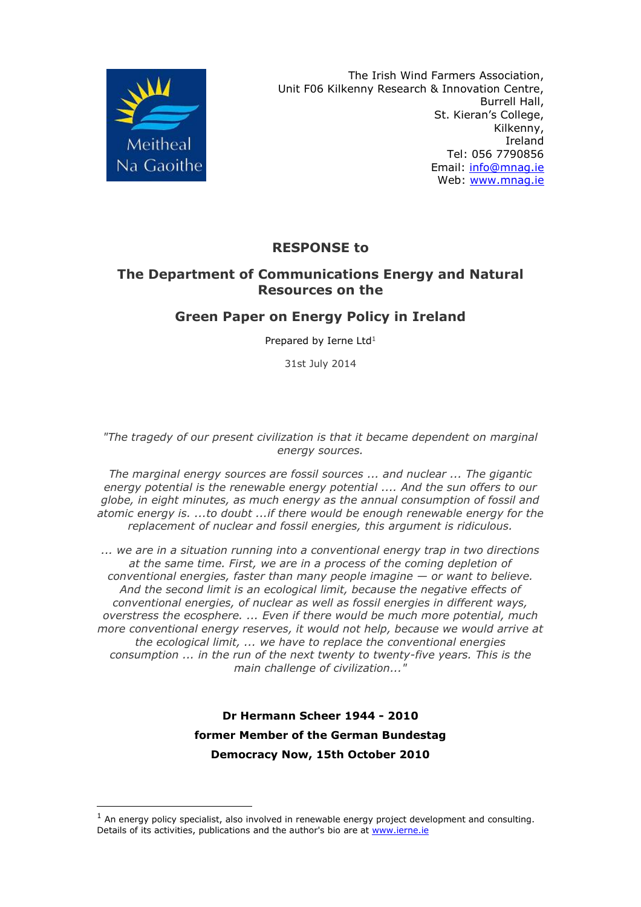

-

The Irish Wind Farmers Association, Unit F06 Kilkenny Research & Innovation Centre, Burrell Hall, St. Kieran's College, Kilkenny, Ireland Tel: 056 7790856 Email: [info@mnag.ie](mailto:info@mnag.ie) Web: [www.mnag.ie](http://www.mnag.ie/)

### **RESPONSE to**

### **The Department of Communications Energy and Natural Resources on the**

#### **Green Paper on Energy Policy in Ireland**

Prepared by Ierne Ltd<sup>1</sup>

31st July 2014

*"The tragedy of our present civilization is that it became dependent on marginal energy sources.*

*The marginal energy sources are fossil sources ... and nuclear ... The gigantic energy potential is the renewable energy potential .... And the sun offers to our globe, in eight minutes, as much energy as the annual consumption of fossil and atomic energy is. ...to doubt ...if there would be enough renewable energy for the replacement of nuclear and fossil energies, this argument is ridiculous.*

*... we are in a situation running into a conventional energy trap in two directions at the same time. First, we are in a process of the coming depletion of conventional energies, faster than many people imagine — or want to believe. And the second limit is an ecological limit, because the negative effects of conventional energies, of nuclear as well as fossil energies in different ways, overstress the ecosphere. ... Even if there would be much more potential, much more conventional energy reserves, it would not help, because we would arrive at the ecological limit, ... we have to replace the conventional energies consumption ... in the run of the next twenty to twenty-five years. This is the main challenge of civilization..."*

> **Dr Hermann Scheer 1944 - 2010 former Member of the German Bundestag Democracy Now, 15th October 2010**

 $<sup>1</sup>$  An energy policy specialist, also involved in renewable energy project development and consulting.</sup> Details of its activities, publications and the author's bio are at [www.ierne.ie](http://www.ierne.ie/)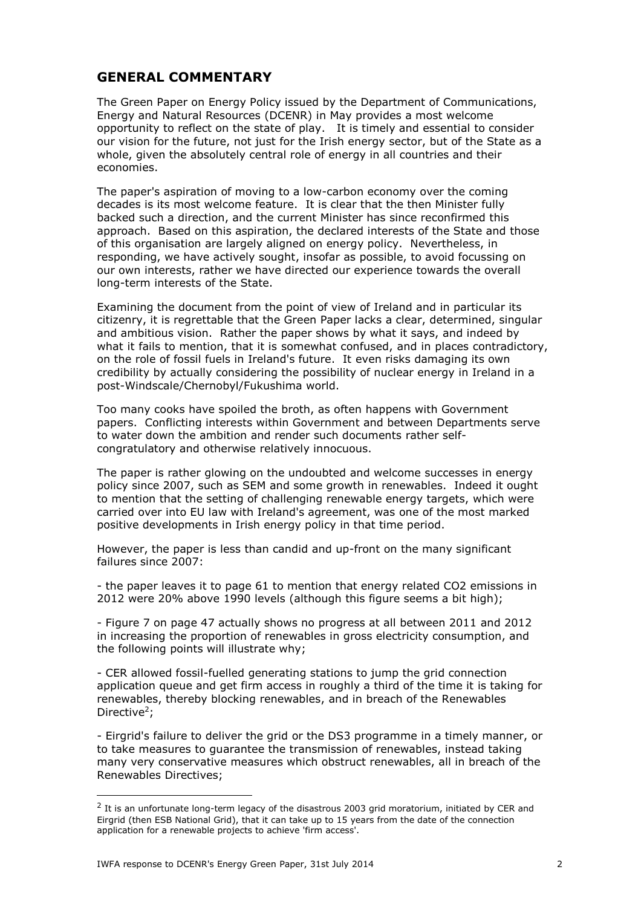#### **GENERAL COMMENTARY**

The Green Paper on Energy Policy issued by the Department of Communications, Energy and Natural Resources (DCENR) in May provides a most welcome opportunity to reflect on the state of play. It is timely and essential to consider our vision for the future, not just for the Irish energy sector, but of the State as a whole, given the absolutely central role of energy in all countries and their economies.

The paper's aspiration of moving to a low-carbon economy over the coming decades is its most welcome feature. It is clear that the then Minister fully backed such a direction, and the current Minister has since reconfirmed this approach. Based on this aspiration, the declared interests of the State and those of this organisation are largely aligned on energy policy. Nevertheless, in responding, we have actively sought, insofar as possible, to avoid focussing on our own interests, rather we have directed our experience towards the overall long-term interests of the State.

Examining the document from the point of view of Ireland and in particular its citizenry, it is regrettable that the Green Paper lacks a clear, determined, singular and ambitious vision. Rather the paper shows by what it says, and indeed by what it fails to mention, that it is somewhat confused, and in places contradictory, on the role of fossil fuels in Ireland's future. It even risks damaging its own credibility by actually considering the possibility of nuclear energy in Ireland in a post-Windscale/Chernobyl/Fukushima world.

Too many cooks have spoiled the broth, as often happens with Government papers. Conflicting interests within Government and between Departments serve to water down the ambition and render such documents rather selfcongratulatory and otherwise relatively innocuous.

The paper is rather glowing on the undoubted and welcome successes in energy policy since 2007, such as SEM and some growth in renewables. Indeed it ought to mention that the setting of challenging renewable energy targets, which were carried over into EU law with Ireland's agreement, was one of the most marked positive developments in Irish energy policy in that time period.

However, the paper is less than candid and up-front on the many significant failures since 2007:

- the paper leaves it to page 61 to mention that energy related CO2 emissions in 2012 were 20% above 1990 levels (although this figure seems a bit high);

- Figure 7 on page 47 actually shows no progress at all between 2011 and 2012 in increasing the proportion of renewables in gross electricity consumption, and the following points will illustrate why;

- CER allowed fossil-fuelled generating stations to jump the grid connection application queue and get firm access in roughly a third of the time it is taking for renewables, thereby blocking renewables, and in breach of the Renewables Directive<sup>2</sup>;

- Eirgrid's failure to deliver the grid or the DS3 programme in a timely manner, or to take measures to guarantee the transmission of renewables, instead taking many very conservative measures which obstruct renewables, all in breach of the Renewables Directives;

 $^2$  It is an unfortunate long-term legacy of the disastrous 2003 grid moratorium, initiated by CER and Eirgrid (then ESB National Grid), that it can take up to 15 years from the date of the connection application for a renewable projects to achieve 'firm access'.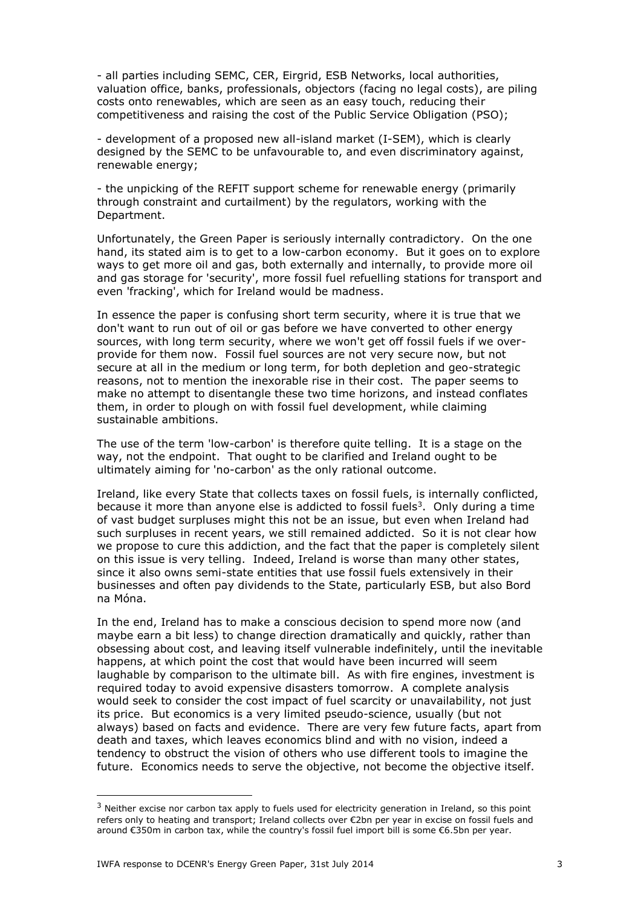- all parties including SEMC, CER, Eirgrid, ESB Networks, local authorities, valuation office, banks, professionals, objectors (facing no legal costs), are piling costs onto renewables, which are seen as an easy touch, reducing their competitiveness and raising the cost of the Public Service Obligation (PSO);

- development of a proposed new all-island market (I-SEM), which is clearly designed by the SEMC to be unfavourable to, and even discriminatory against, renewable energy;

- the unpicking of the REFIT support scheme for renewable energy (primarily through constraint and curtailment) by the regulators, working with the Department.

Unfortunately, the Green Paper is seriously internally contradictory. On the one hand, its stated aim is to get to a low-carbon economy. But it goes on to explore ways to get more oil and gas, both externally and internally, to provide more oil and gas storage for 'security', more fossil fuel refuelling stations for transport and even 'fracking', which for Ireland would be madness.

In essence the paper is confusing short term security, where it is true that we don't want to run out of oil or gas before we have converted to other energy sources, with long term security, where we won't get off fossil fuels if we overprovide for them now. Fossil fuel sources are not very secure now, but not secure at all in the medium or long term, for both depletion and geo-strategic reasons, not to mention the inexorable rise in their cost. The paper seems to make no attempt to disentangle these two time horizons, and instead conflates them, in order to plough on with fossil fuel development, while claiming sustainable ambitions.

The use of the term 'low-carbon' is therefore quite telling. It is a stage on the way, not the endpoint. That ought to be clarified and Ireland ought to be ultimately aiming for 'no-carbon' as the only rational outcome.

Ireland, like every State that collects taxes on fossil fuels, is internally conflicted, because it more than anyone else is addicted to fossil fuels<sup>3</sup>. Only during a time of vast budget surpluses might this not be an issue, but even when Ireland had such surpluses in recent years, we still remained addicted. So it is not clear how we propose to cure this addiction, and the fact that the paper is completely silent on this issue is very telling. Indeed, Ireland is worse than many other states, since it also owns semi-state entities that use fossil fuels extensively in their businesses and often pay dividends to the State, particularly ESB, but also Bord na Móna.

In the end, Ireland has to make a conscious decision to spend more now (and maybe earn a bit less) to change direction dramatically and quickly, rather than obsessing about cost, and leaving itself vulnerable indefinitely, until the inevitable happens, at which point the cost that would have been incurred will seem laughable by comparison to the ultimate bill. As with fire engines, investment is required today to avoid expensive disasters tomorrow. A complete analysis would seek to consider the cost impact of fuel scarcity or unavailability, not just its price. But economics is a very limited pseudo-science, usually (but not always) based on facts and evidence. There are very few future facts, apart from death and taxes, which leaves economics blind and with no vision, indeed a tendency to obstruct the vision of others who use different tools to imagine the future. Economics needs to serve the objective, not become the objective itself.

 $3$  Neither excise nor carbon tax apply to fuels used for electricity generation in Ireland, so this point refers only to heating and transport; Ireland collects over €2bn per year in excise on fossil fuels and around €350m in carbon tax, while the country's fossil fuel import bill is some €6.5bn per year.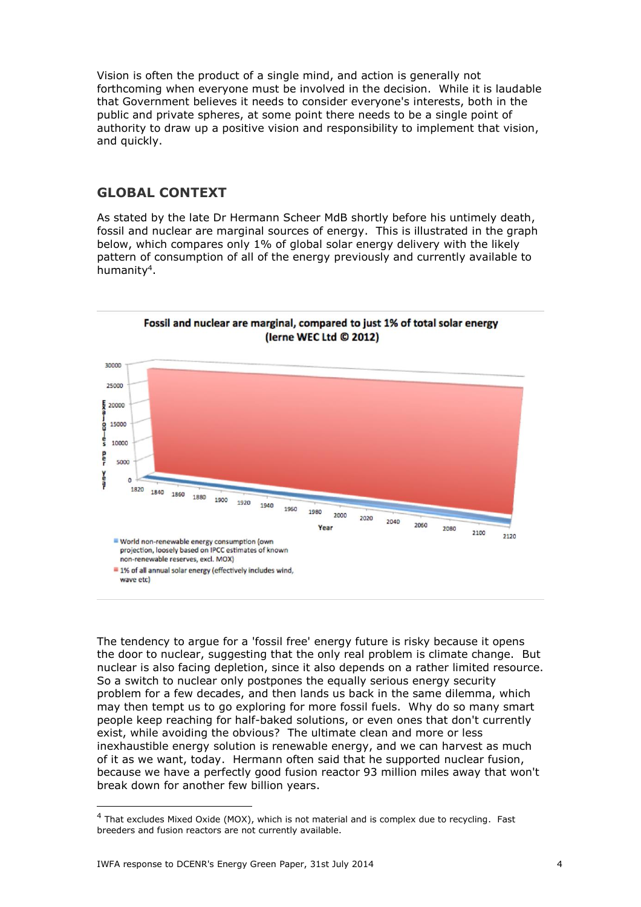Vision is often the product of a single mind, and action is generally not forthcoming when everyone must be involved in the decision. While it is laudable that Government believes it needs to consider everyone's interests, both in the public and private spheres, at some point there needs to be a single point of authority to draw up a positive vision and responsibility to implement that vision, and quickly.

#### **GLOBAL CONTEXT**

As stated by the late Dr Hermann Scheer MdB shortly before his untimely death, fossil and nuclear are marginal sources of energy. This is illustrated in the graph below, which compares only 1% of global solar energy delivery with the likely pattern of consumption of all of the energy previously and currently available to humanity<sup>4</sup>.





The tendency to argue for a 'fossil free' energy future is risky because it opens the door to nuclear, suggesting that the only real problem is climate change. But nuclear is also facing depletion, since it also depends on a rather limited resource. So a switch to nuclear only postpones the equally serious energy security problem for a few decades, and then lands us back in the same dilemma, which may then tempt us to go exploring for more fossil fuels. Why do so many smart people keep reaching for half-baked solutions, or even ones that don't currently exist, while avoiding the obvious? The ultimate clean and more or less inexhaustible energy solution is renewable energy, and we can harvest as much of it as we want, today. Hermann often said that he supported nuclear fusion, because we have a perfectly good fusion reactor 93 million miles away that won't break down for another few billion years.

<sup>4</sup> That excludes Mixed Oxide (MOX), which is not material and is complex due to recycling. Fast breeders and fusion reactors are not currently available.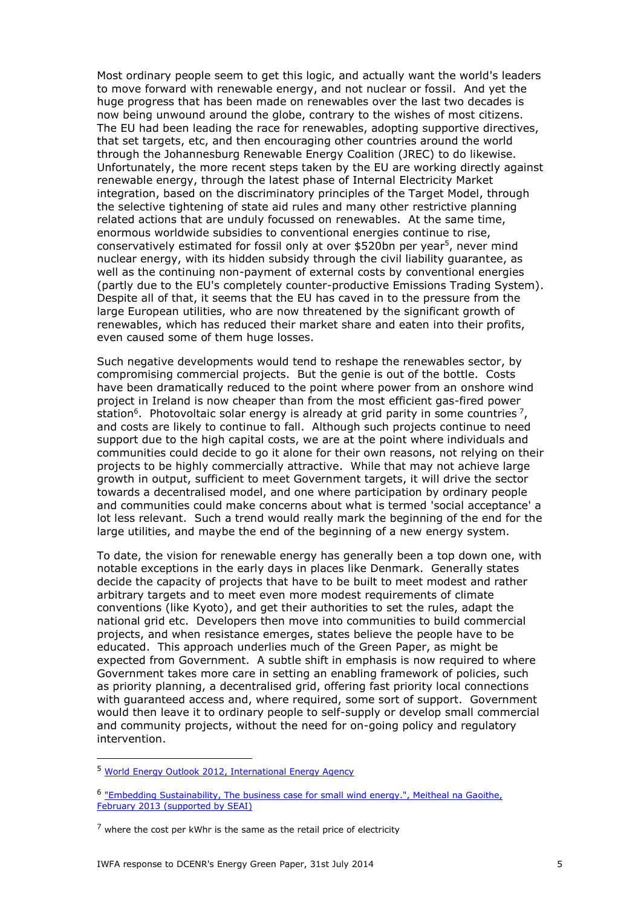Most ordinary people seem to get this logic, and actually want the world's leaders to move forward with renewable energy, and not nuclear or fossil. And yet the huge progress that has been made on renewables over the last two decades is now being unwound around the globe, contrary to the wishes of most citizens. The EU had been leading the race for renewables, adopting supportive directives, that set targets, etc, and then encouraging other countries around the world through the Johannesburg Renewable Energy Coalition (JREC) to do likewise. Unfortunately, the more recent steps taken by the EU are working directly against renewable energy, through the latest phase of Internal Electricity Market integration, based on the discriminatory principles of the Target Model, through the selective tightening of state aid rules and many other restrictive planning related actions that are unduly focussed on renewables. At the same time, enormous worldwide subsidies to conventional energies continue to rise, conservatively estimated for fossil only at over \$520bn per year<sup>5</sup>, never mind nuclear energy, with its hidden subsidy through the civil liability guarantee, as well as the continuing non-payment of external costs by conventional energies (partly due to the EU's completely counter-productive Emissions Trading System). Despite all of that, it seems that the EU has caved in to the pressure from the large European utilities, who are now threatened by the significant growth of renewables, which has reduced their market share and eaten into their profits, even caused some of them huge losses.

Such negative developments would tend to reshape the renewables sector, by compromising commercial projects. But the genie is out of the bottle. Costs have been dramatically reduced to the point where power from an onshore wind project in Ireland is now cheaper than from the most efficient gas-fired power station<sup>6</sup>. Photovoltaic solar energy is already at grid parity in some countries <sup>7</sup>, and costs are likely to continue to fall. Although such projects continue to need support due to the high capital costs, we are at the point where individuals and communities could decide to go it alone for their own reasons, not relying on their projects to be highly commercially attractive. While that may not achieve large growth in output, sufficient to meet Government targets, it will drive the sector towards a decentralised model, and one where participation by ordinary people and communities could make concerns about what is termed 'social acceptance' a lot less relevant. Such a trend would really mark the beginning of the end for the large utilities, and maybe the end of the beginning of a new energy system.

To date, the vision for renewable energy has generally been a top down one, with notable exceptions in the early days in places like Denmark. Generally states decide the capacity of projects that have to be built to meet modest and rather arbitrary targets and to meet even more modest requirements of climate conventions (like Kyoto), and get their authorities to set the rules, adapt the national grid etc. Developers then move into communities to build commercial projects, and when resistance emerges, states believe the people have to be educated. This approach underlies much of the Green Paper, as might be expected from Government. A subtle shift in emphasis is now required to where Government takes more care in setting an enabling framework of policies, such as priority planning, a decentralised grid, offering fast priority local connections with guaranteed access and, where required, some sort of support. Government would then leave it to ordinary people to self-supply or develop small commercial and community projects, without the need for on-going policy and regulatory intervention.

<sup>5</sup> [World Energy Outlook 2012, International Energy Agency](http://www.worldenergyoutlook.org/publications/weo-2012/)

<sup>&</sup>lt;sup>6</sup> "Embedding Sustainability, The business case for small wind energy.", Meitheal na Gaoithe, [February 2013 \(supported by SEAI\)](http://mnag.ie/information/)

 $<sup>7</sup>$  where the cost per kWhr is the same as the retail price of electricity</sup>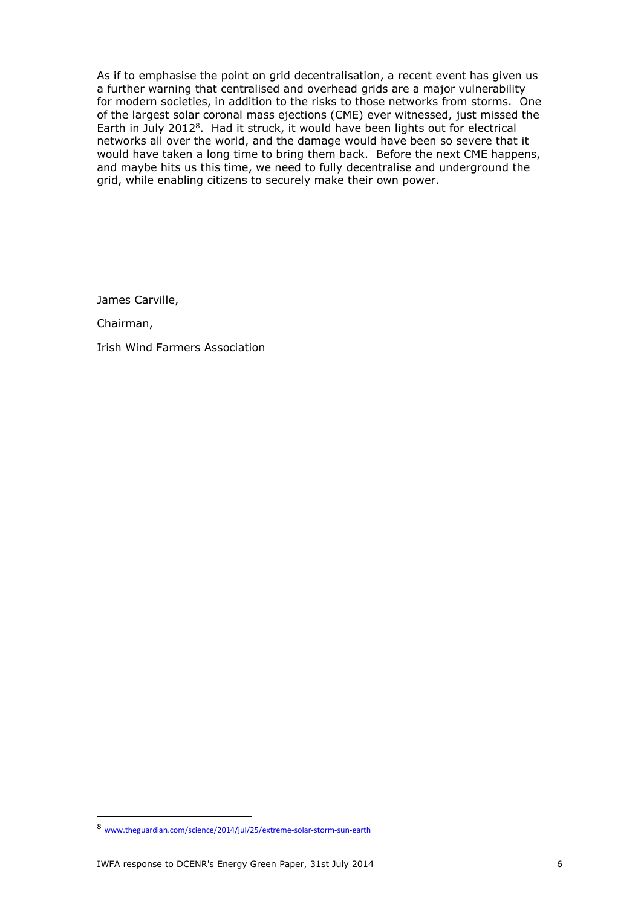As if to emphasise the point on grid decentralisation, a recent event has given us a further warning that centralised and overhead grids are a major vulnerability for modern societies, in addition to the risks to those networks from storms. One of the largest solar coronal mass ejections (CME) ever witnessed, just missed the Earth in July 2012<sup>8</sup>. Had it struck, it would have been lights out for electrical networks all over the world, and the damage would have been so severe that it would have taken a long time to bring them back. Before the next CME happens, and maybe hits us this time, we need to fully decentralise and underground the grid, while enabling citizens to securely make their own power.

James Carville,

Chairman,

Irish Wind Farmers Association

<sup>8</sup> [www.theguardian.com/science/2014/jul/25/extreme-solar-storm-sun-earth](http://www.theguardian.com/science/2014/jul/25/extreme-solar-storm-sun-earth)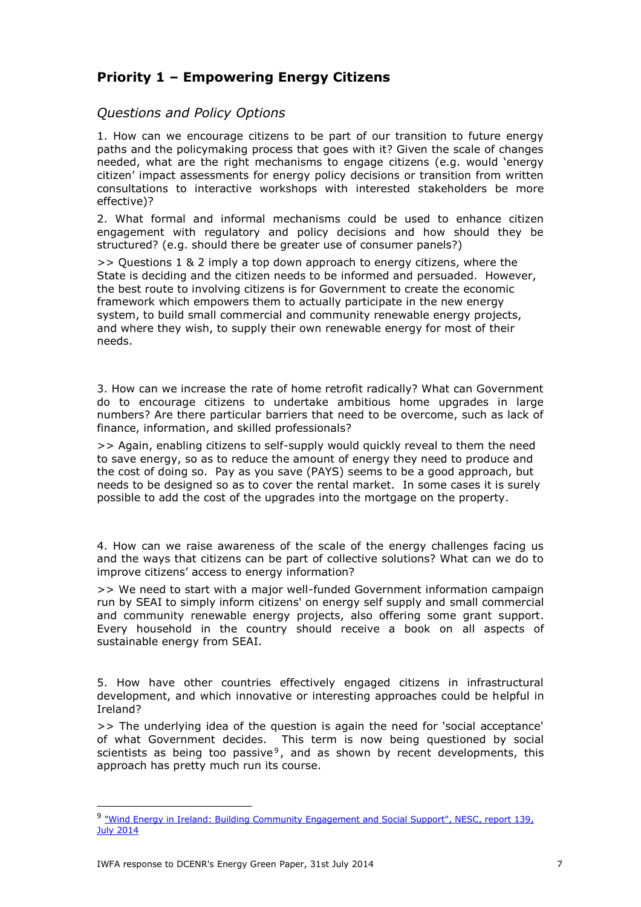### **Priority 1 – Empowering Energy Citizens**

*Questions and Policy Options* 

1. How can we encourage citizens to be part of our transition to future energy paths and the policymaking process that goes with it? Given the scale of changes needed, what are the right mechanisms to engage citizens (e.g. would 'energy citizen' impact assessments for energy policy decisions or transition from written consultations to interactive workshops with interested stakeholders be more effective)?

2. What formal and informal mechanisms could be used to enhance citizen engagement with regulatory and policy decisions and how should they be structured? (e.g. should there be greater use of consumer panels?)

>> Questions 1 & 2 imply a top down approach to energy citizens, where the State is deciding and the citizen needs to be informed and persuaded. However, the best route to involving citizens is for Government to create the economic framework which empowers them to actually participate in the new energy system, to build small commercial and community renewable energy projects, and where they wish, to supply their own renewable energy for most of their needs.

3. How can we increase the rate of home retrofit radically? What can Government do to encourage citizens to undertake ambitious home upgrades in large numbers? Are there particular barriers that need to be overcome, such as lack of finance, information, and skilled professionals?

>> Again, enabling citizens to self-supply would quickly reveal to them the need to save energy, so as to reduce the amount of energy they need to produce and the cost of doing so. Pay as you save (PAYS) seems to be a good approach, but needs to be designed so as to cover the rental market. In some cases it is surely possible to add the cost of the upgrades into the mortgage on the property.

4. How can we raise awareness of the scale of the energy challenges facing us and the ways that citizens can be part of collective solutions? What can we do to improve citizens' access to energy information?

>> We need to start with a major well-funded Government information campaign run by SEAI to simply inform citizens' on energy self supply and small commercial and community renewable energy projects, also offering some grant support. Every household in the country should receive a book on all aspects of sustainable energy from SEAI.

5. How have other countries effectively engaged citizens in infrastructural development, and which innovative or interesting approaches could be helpful in Ireland?

>> The underlying idea of the question is again the need for 'social acceptance' of what Government decides. This term is now being questioned by social scientists as being too passive<sup>9</sup>, and as shown by recent developments, this approach has pretty much run its course.

<sup>9 &</sup>quot;Wind Energy in Ireland: Building Community Engagement and Social Support", NESC, report 139, [July 2014](http://www.nesc.ie/en/publications/publications/nesc-reports/wind-energy-in-ireland-building-community-engagement-and-social-support/)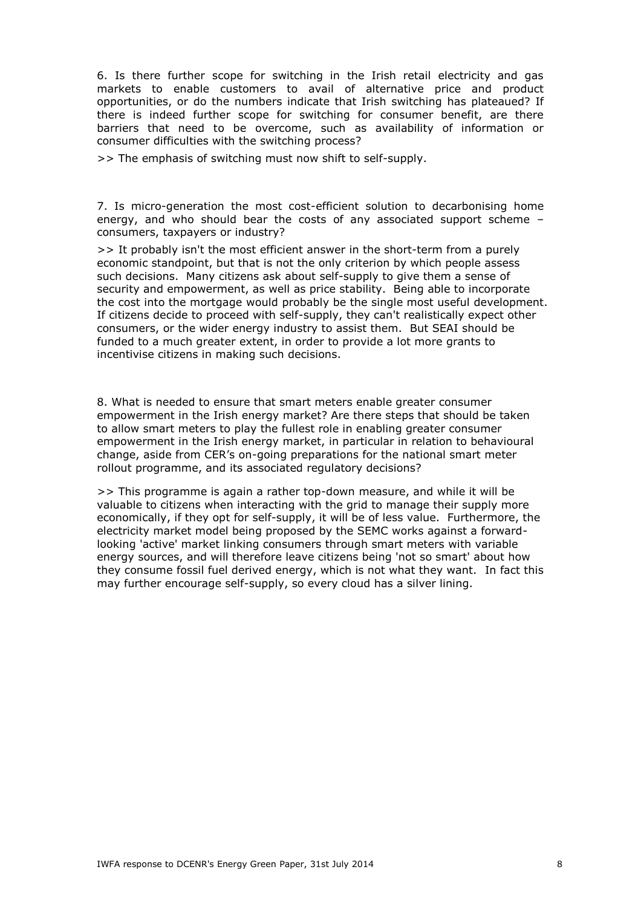6. Is there further scope for switching in the Irish retail electricity and gas markets to enable customers to avail of alternative price and product opportunities, or do the numbers indicate that Irish switching has plateaued? If there is indeed further scope for switching for consumer benefit, are there barriers that need to be overcome, such as availability of information or consumer difficulties with the switching process?

>> The emphasis of switching must now shift to self-supply.

7. Is micro-generation the most cost-efficient solution to decarbonising home energy, and who should bear the costs of any associated support scheme – consumers, taxpayers or industry?

>> It probably isn't the most efficient answer in the short-term from a purely economic standpoint, but that is not the only criterion by which people assess such decisions. Many citizens ask about self-supply to give them a sense of security and empowerment, as well as price stability. Being able to incorporate the cost into the mortgage would probably be the single most useful development. If citizens decide to proceed with self-supply, they can't realistically expect other consumers, or the wider energy industry to assist them. But SEAI should be funded to a much greater extent, in order to provide a lot more grants to incentivise citizens in making such decisions.

8. What is needed to ensure that smart meters enable greater consumer empowerment in the Irish energy market? Are there steps that should be taken to allow smart meters to play the fullest role in enabling greater consumer empowerment in the Irish energy market, in particular in relation to behavioural change, aside from CER's on-going preparations for the national smart meter rollout programme, and its associated regulatory decisions?

>> This programme is again a rather top-down measure, and while it will be valuable to citizens when interacting with the grid to manage their supply more economically, if they opt for self-supply, it will be of less value. Furthermore, the electricity market model being proposed by the SEMC works against a forwardlooking 'active' market linking consumers through smart meters with variable energy sources, and will therefore leave citizens being 'not so smart' about how they consume fossil fuel derived energy, which is not what they want. In fact this may further encourage self-supply, so every cloud has a silver lining.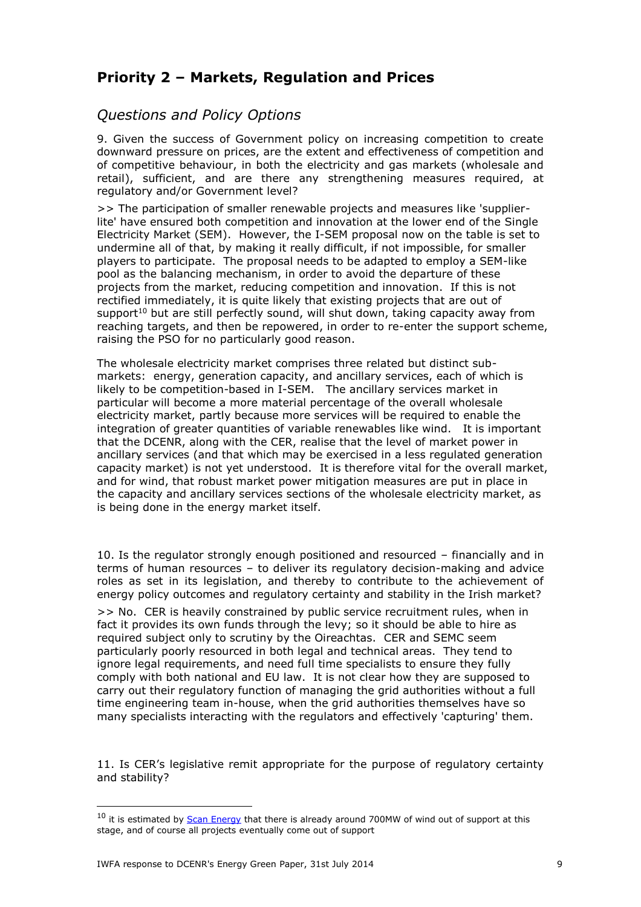# **Priority 2 – Markets, Regulation and Prices**

### *Questions and Policy Options*

9. Given the success of Government policy on increasing competition to create downward pressure on prices, are the extent and effectiveness of competition and of competitive behaviour, in both the electricity and gas markets (wholesale and retail), sufficient, and are there any strengthening measures required, at regulatory and/or Government level?

>> The participation of smaller renewable projects and measures like 'supplierlite' have ensured both competition and innovation at the lower end of the Single Electricity Market (SEM). However, the I-SEM proposal now on the table is set to undermine all of that, by making it really difficult, if not impossible, for smaller players to participate. The proposal needs to be adapted to employ a SEM-like pool as the balancing mechanism, in order to avoid the departure of these projects from the market, reducing competition and innovation. If this is not rectified immediately, it is quite likely that existing projects that are out of support<sup>10</sup> but are still perfectly sound, will shut down, taking capacity away from reaching targets, and then be repowered, in order to re-enter the support scheme, raising the PSO for no particularly good reason.

The wholesale electricity market comprises three related but distinct submarkets: energy, generation capacity, and ancillary services, each of which is likely to be competition-based in I-SEM. The ancillary services market in particular will become a more material percentage of the overall wholesale electricity market, partly because more services will be required to enable the integration of greater quantities of variable renewables like wind. It is important that the DCENR, along with the CER, realise that the level of market power in ancillary services (and that which may be exercised in a less regulated generation capacity market) is not yet understood. It is therefore vital for the overall market, and for wind, that robust market power mitigation measures are put in place in the capacity and ancillary services sections of the wholesale electricity market, as is being done in the energy market itself.

10. Is the regulator strongly enough positioned and resourced – financially and in terms of human resources – to deliver its regulatory decision-making and advice roles as set in its legislation, and thereby to contribute to the achievement of energy policy outcomes and regulatory certainty and stability in the Irish market? >> No. CER is heavily constrained by public service recruitment rules, when in fact it provides its own funds through the levy; so it should be able to hire as required subject only to scrutiny by the Oireachtas. CER and SEMC seem particularly poorly resourced in both legal and technical areas. They tend to ignore legal requirements, and need full time specialists to ensure they fully comply with both national and EU law. It is not clear how they are supposed to carry out their regulatory function of managing the grid authorities without a full time engineering team in-house, when the grid authorities themselves have so many specialists interacting with the regulators and effectively 'capturing' them.

11. Is CER's legislative remit appropriate for the purpose of regulatory certainty and stability?

 $10$  it is estimated by  $Scan$  Energy that there is already around 700MW of wind out of support at this stage, and of course all projects eventually come out of support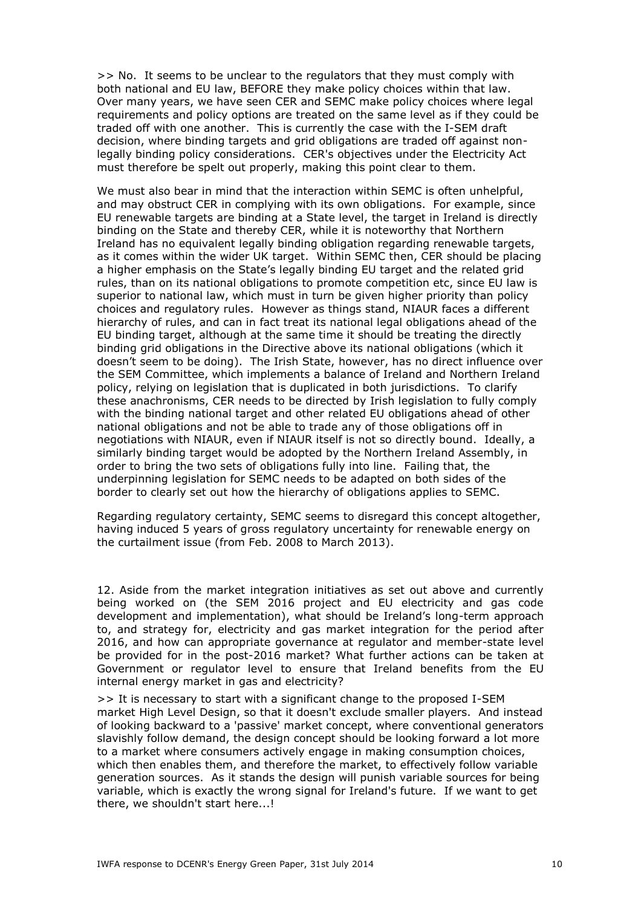>> No. It seems to be unclear to the regulators that they must comply with both national and EU law, BEFORE they make policy choices within that law. Over many years, we have seen CER and SEMC make policy choices where legal requirements and policy options are treated on the same level as if they could be traded off with one another. This is currently the case with the I-SEM draft decision, where binding targets and grid obligations are traded off against nonlegally binding policy considerations. CER's objectives under the Electricity Act must therefore be spelt out properly, making this point clear to them.

We must also bear in mind that the interaction within SEMC is often unhelpful, and may obstruct CER in complying with its own obligations. For example, since EU renewable targets are binding at a State level, the target in Ireland is directly binding on the State and thereby CER, while it is noteworthy that Northern Ireland has no equivalent legally binding obligation regarding renewable targets, as it comes within the wider UK target. Within SEMC then, CER should be placing a higher emphasis on the State's legally binding EU target and the related grid rules, than on its national obligations to promote competition etc, since EU law is superior to national law, which must in turn be given higher priority than policy choices and regulatory rules. However as things stand, NIAUR faces a different hierarchy of rules, and can in fact treat its national legal obligations ahead of the EU binding target, although at the same time it should be treating the directly binding grid obligations in the Directive above its national obligations (which it doesn't seem to be doing). The Irish State, however, has no direct influence over the SEM Committee, which implements a balance of Ireland and Northern Ireland policy, relying on legislation that is duplicated in both jurisdictions. To clarify these anachronisms, CER needs to be directed by Irish legislation to fully comply with the binding national target and other related EU obligations ahead of other national obligations and not be able to trade any of those obligations off in negotiations with NIAUR, even if NIAUR itself is not so directly bound. Ideally, a similarly binding target would be adopted by the Northern Ireland Assembly, in order to bring the two sets of obligations fully into line. Failing that, the underpinning legislation for SEMC needs to be adapted on both sides of the border to clearly set out how the hierarchy of obligations applies to SEMC.

Regarding regulatory certainty, SEMC seems to disregard this concept altogether, having induced 5 years of gross regulatory uncertainty for renewable energy on the curtailment issue (from Feb. 2008 to March 2013).

12. Aside from the market integration initiatives as set out above and currently being worked on (the SEM 2016 project and EU electricity and gas code development and implementation), what should be Ireland's long-term approach to, and strategy for, electricity and gas market integration for the period after 2016, and how can appropriate governance at regulator and member-state level be provided for in the post-2016 market? What further actions can be taken at Government or regulator level to ensure that Ireland benefits from the EU internal energy market in gas and electricity?

>> It is necessary to start with a significant change to the proposed I-SEM market High Level Design, so that it doesn't exclude smaller players. And instead of looking backward to a 'passive' market concept, where conventional generators slavishly follow demand, the design concept should be looking forward a lot more to a market where consumers actively engage in making consumption choices, which then enables them, and therefore the market, to effectively follow variable generation sources. As it stands the design will punish variable sources for being variable, which is exactly the wrong signal for Ireland's future. If we want to get there, we shouldn't start here...!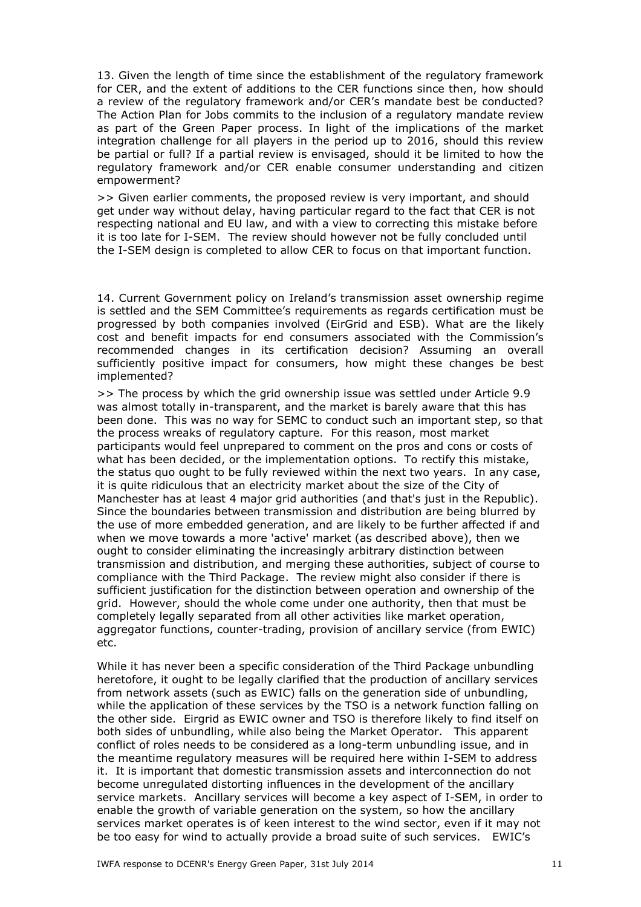13. Given the length of time since the establishment of the regulatory framework for CER, and the extent of additions to the CER functions since then, how should a review of the regulatory framework and/or CER's mandate best be conducted? The Action Plan for Jobs commits to the inclusion of a regulatory mandate review as part of the Green Paper process. In light of the implications of the market integration challenge for all players in the period up to 2016, should this review be partial or full? If a partial review is envisaged, should it be limited to how the regulatory framework and/or CER enable consumer understanding and citizen empowerment?

>> Given earlier comments, the proposed review is very important, and should get under way without delay, having particular regard to the fact that CER is not respecting national and EU law, and with a view to correcting this mistake before it is too late for I-SEM. The review should however not be fully concluded until the I-SEM design is completed to allow CER to focus on that important function.

14. Current Government policy on Ireland's transmission asset ownership regime is settled and the SEM Committee's requirements as regards certification must be progressed by both companies involved (EirGrid and ESB). What are the likely cost and benefit impacts for end consumers associated with the Commission's recommended changes in its certification decision? Assuming an overall sufficiently positive impact for consumers, how might these changes be best implemented?

>> The process by which the grid ownership issue was settled under Article 9.9 was almost totally in-transparent, and the market is barely aware that this has been done. This was no way for SEMC to conduct such an important step, so that the process wreaks of regulatory capture. For this reason, most market participants would feel unprepared to comment on the pros and cons or costs of what has been decided, or the implementation options. To rectify this mistake, the status quo ought to be fully reviewed within the next two years. In any case, it is quite ridiculous that an electricity market about the size of the City of Manchester has at least 4 major grid authorities (and that's just in the Republic). Since the boundaries between transmission and distribution are being blurred by the use of more embedded generation, and are likely to be further affected if and when we move towards a more 'active' market (as described above), then we ought to consider eliminating the increasingly arbitrary distinction between transmission and distribution, and merging these authorities, subject of course to compliance with the Third Package. The review might also consider if there is sufficient justification for the distinction between operation and ownership of the grid. However, should the whole come under one authority, then that must be completely legally separated from all other activities like market operation, aggregator functions, counter-trading, provision of ancillary service (from EWIC) etc.

While it has never been a specific consideration of the Third Package unbundling heretofore, it ought to be legally clarified that the production of ancillary services from network assets (such as EWIC) falls on the generation side of unbundling, while the application of these services by the TSO is a network function falling on the other side. Eirgrid as EWIC owner and TSO is therefore likely to find itself on both sides of unbundling, while also being the Market Operator. This apparent conflict of roles needs to be considered as a long-term unbundling issue, and in the meantime regulatory measures will be required here within I-SEM to address it. It is important that domestic transmission assets and interconnection do not become unregulated distorting influences in the development of the ancillary service markets. Ancillary services will become a key aspect of I-SEM, in order to enable the growth of variable generation on the system, so how the ancillary services market operates is of keen interest to the wind sector, even if it may not be too easy for wind to actually provide a broad suite of such services. EWIC's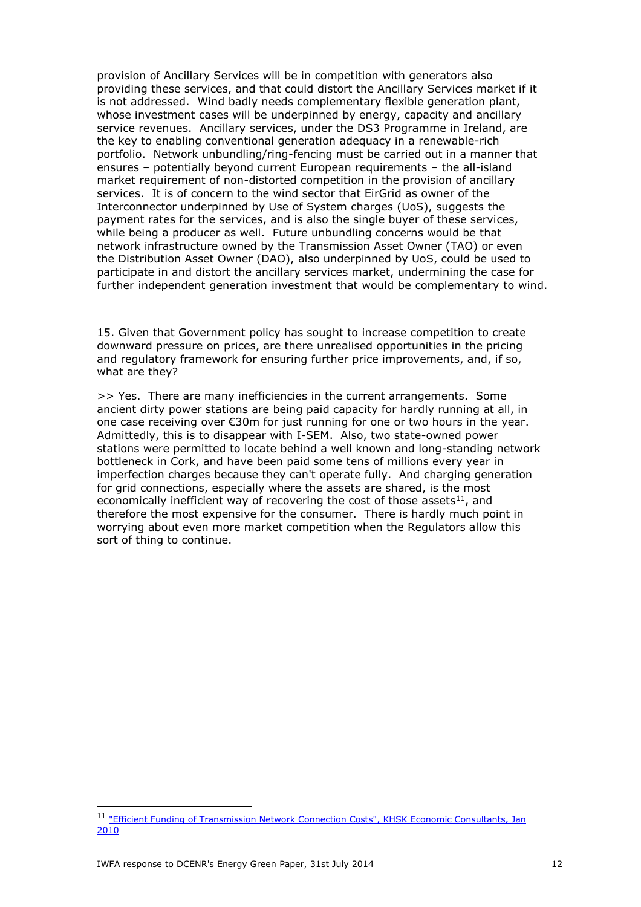provision of Ancillary Services will be in competition with generators also providing these services, and that could distort the Ancillary Services market if it is not addressed. Wind badly needs complementary flexible generation plant, whose investment cases will be underpinned by energy, capacity and ancillary service revenues. Ancillary services, under the DS3 Programme in Ireland, are the key to enabling conventional generation adequacy in a renewable-rich portfolio. Network unbundling/ring-fencing must be carried out in a manner that ensures – potentially beyond current European requirements – the all-island market requirement of non-distorted competition in the provision of ancillary services. It is of concern to the wind sector that EirGrid as owner of the Interconnector underpinned by Use of System charges (UoS), suggests the payment rates for the services, and is also the single buyer of these services, while being a producer as well. Future unbundling concerns would be that network infrastructure owned by the Transmission Asset Owner (TAO) or even the Distribution Asset Owner (DAO), also underpinned by UoS, could be used to participate in and distort the ancillary services market, undermining the case for further independent generation investment that would be complementary to wind.

15. Given that Government policy has sought to increase competition to create downward pressure on prices, are there unrealised opportunities in the pricing and regulatory framework for ensuring further price improvements, and, if so, what are they?

>> Yes. There are many inefficiencies in the current arrangements. Some ancient dirty power stations are being paid capacity for hardly running at all, in one case receiving over €30m for just running for one or two hours in the year. Admittedly, this is to disappear with I-SEM. Also, two state-owned power stations were permitted to locate behind a well known and long-standing network bottleneck in Cork, and have been paid some tens of millions every year in imperfection charges because they can't operate fully. And charging generation for grid connections, especially where the assets are shared, is the most economically inefficient way of recovering the cost of those assets $^{11}$ , and therefore the most expensive for the consumer. There is hardly much point in worrying about even more market competition when the Regulators allow this sort of thing to continue.

<sup>&</sup>lt;sup>11</sup> "Efficient Funding of Transmission Network Connection Costs", KHSK Economic Consultants, Jan [2010](http://www.nowireland.ie/downloads.html)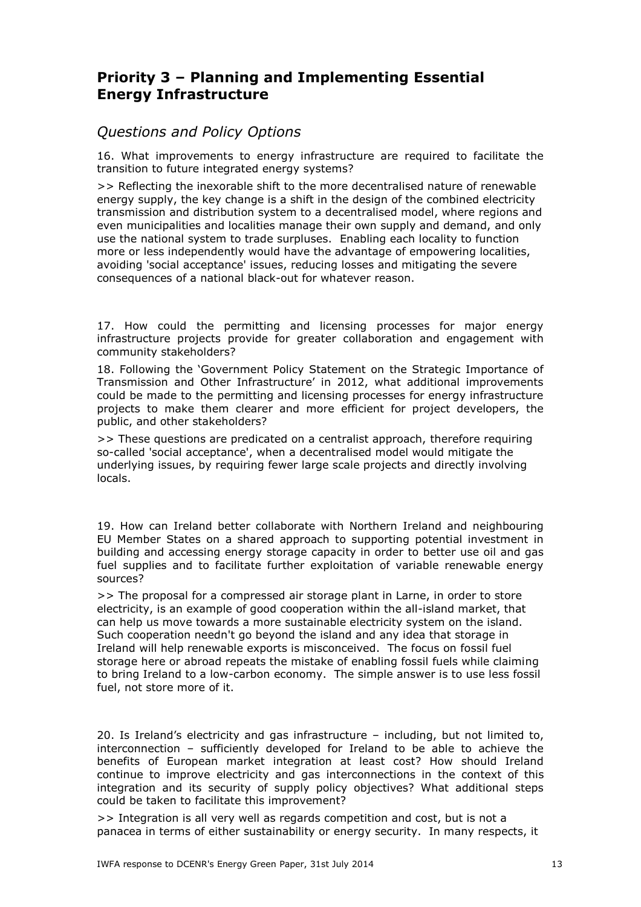# **Priority 3 – Planning and Implementing Essential Energy Infrastructure**

#### *Questions and Policy Options*

16. What improvements to energy infrastructure are required to facilitate the transition to future integrated energy systems?

>> Reflecting the inexorable shift to the more decentralised nature of renewable energy supply, the key change is a shift in the design of the combined electricity transmission and distribution system to a decentralised model, where regions and even municipalities and localities manage their own supply and demand, and only use the national system to trade surpluses. Enabling each locality to function more or less independently would have the advantage of empowering localities, avoiding 'social acceptance' issues, reducing losses and mitigating the severe consequences of a national black-out for whatever reason.

17. How could the permitting and licensing processes for major energy infrastructure projects provide for greater collaboration and engagement with community stakeholders?

18. Following the 'Government Policy Statement on the Strategic Importance of Transmission and Other Infrastructure' in 2012, what additional improvements could be made to the permitting and licensing processes for energy infrastructure projects to make them clearer and more efficient for project developers, the public, and other stakeholders?

>> These questions are predicated on a centralist approach, therefore requiring so-called 'social acceptance', when a decentralised model would mitigate the underlying issues, by requiring fewer large scale projects and directly involving locals.

19. How can Ireland better collaborate with Northern Ireland and neighbouring EU Member States on a shared approach to supporting potential investment in building and accessing energy storage capacity in order to better use oil and gas fuel supplies and to facilitate further exploitation of variable renewable energy sources?

>> The proposal for a compressed air storage plant in Larne, in order to store electricity, is an example of good cooperation within the all-island market, that can help us move towards a more sustainable electricity system on the island. Such cooperation needn't go beyond the island and any idea that storage in Ireland will help renewable exports is misconceived. The focus on fossil fuel storage here or abroad repeats the mistake of enabling fossil fuels while claiming to bring Ireland to a low-carbon economy. The simple answer is to use less fossil fuel, not store more of it.

20. Is Ireland's electricity and gas infrastructure – including, but not limited to, interconnection – sufficiently developed for Ireland to be able to achieve the benefits of European market integration at least cost? How should Ireland continue to improve electricity and gas interconnections in the context of this integration and its security of supply policy objectives? What additional steps could be taken to facilitate this improvement?

>> Integration is all very well as regards competition and cost, but is not a panacea in terms of either sustainability or energy security. In many respects, it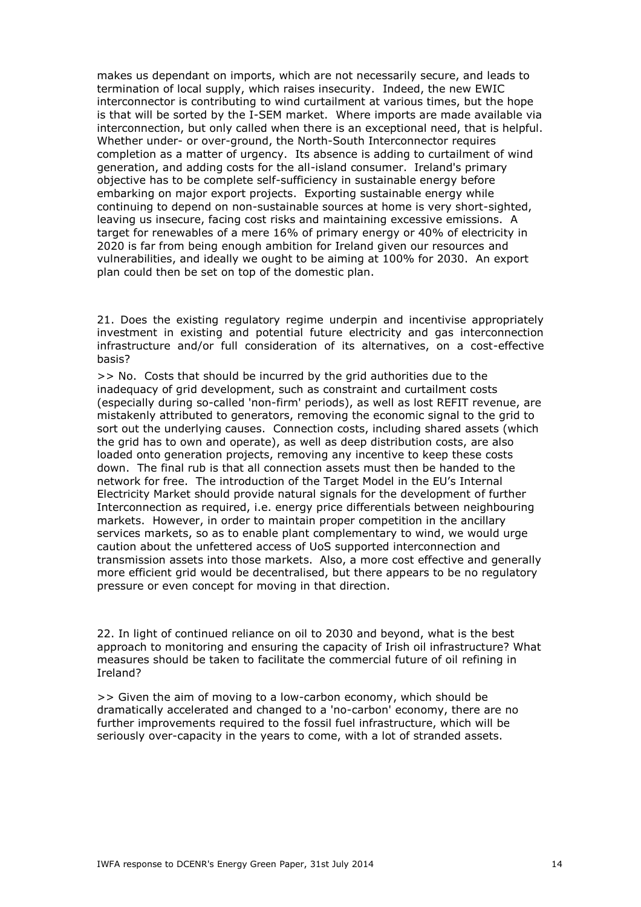makes us dependant on imports, which are not necessarily secure, and leads to termination of local supply, which raises insecurity. Indeed, the new EWIC interconnector is contributing to wind curtailment at various times, but the hope is that will be sorted by the I-SEM market. Where imports are made available via interconnection, but only called when there is an exceptional need, that is helpful. Whether under- or over-ground, the North-South Interconnector requires completion as a matter of urgency. Its absence is adding to curtailment of wind generation, and adding costs for the all-island consumer. Ireland's primary objective has to be complete self-sufficiency in sustainable energy before embarking on major export projects. Exporting sustainable energy while continuing to depend on non-sustainable sources at home is very short-sighted, leaving us insecure, facing cost risks and maintaining excessive emissions. A target for renewables of a mere 16% of primary energy or 40% of electricity in 2020 is far from being enough ambition for Ireland given our resources and vulnerabilities, and ideally we ought to be aiming at 100% for 2030. An export plan could then be set on top of the domestic plan.

21. Does the existing regulatory regime underpin and incentivise appropriately investment in existing and potential future electricity and gas interconnection infrastructure and/or full consideration of its alternatives, on a cost-effective basis?

>> No. Costs that should be incurred by the grid authorities due to the inadequacy of grid development, such as constraint and curtailment costs (especially during so-called 'non-firm' periods), as well as lost REFIT revenue, are mistakenly attributed to generators, removing the economic signal to the grid to sort out the underlying causes. Connection costs, including shared assets (which the grid has to own and operate), as well as deep distribution costs, are also loaded onto generation projects, removing any incentive to keep these costs down. The final rub is that all connection assets must then be handed to the network for free. The introduction of the Target Model in the EU's Internal Electricity Market should provide natural signals for the development of further Interconnection as required, i.e. energy price differentials between neighbouring markets. However, in order to maintain proper competition in the ancillary services markets, so as to enable plant complementary to wind, we would urge caution about the unfettered access of UoS supported interconnection and transmission assets into those markets. Also, a more cost effective and generally more efficient grid would be decentralised, but there appears to be no regulatory pressure or even concept for moving in that direction.

22. In light of continued reliance on oil to 2030 and beyond, what is the best approach to monitoring and ensuring the capacity of Irish oil infrastructure? What measures should be taken to facilitate the commercial future of oil refining in Ireland?

>> Given the aim of moving to a low-carbon economy, which should be dramatically accelerated and changed to a 'no-carbon' economy, there are no further improvements required to the fossil fuel infrastructure, which will be seriously over-capacity in the years to come, with a lot of stranded assets.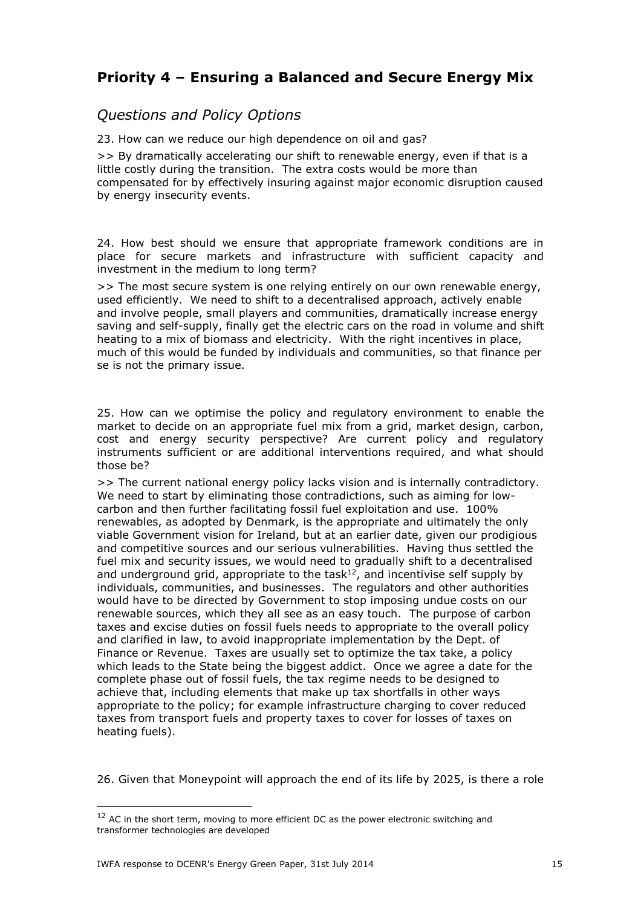# **Priority 4 – Ensuring a Balanced and Secure Energy Mix**

## *Questions and Policy Options*

23. How can we reduce our high dependence on oil and gas?

>> By dramatically accelerating our shift to renewable energy, even if that is a little costly during the transition. The extra costs would be more than compensated for by effectively insuring against major economic disruption caused by energy insecurity events.

24. How best should we ensure that appropriate framework conditions are in place for secure markets and infrastructure with sufficient capacity and investment in the medium to long term?

>> The most secure system is one relying entirely on our own renewable energy, used efficiently. We need to shift to a decentralised approach, actively enable and involve people, small players and communities, dramatically increase energy saving and self-supply, finally get the electric cars on the road in volume and shift heating to a mix of biomass and electricity. With the right incentives in place, much of this would be funded by individuals and communities, so that finance per se is not the primary issue.

25. How can we optimise the policy and regulatory environment to enable the market to decide on an appropriate fuel mix from a grid, market design, carbon, cost and energy security perspective? Are current policy and regulatory instruments sufficient or are additional interventions required, and what should those be?

>> The current national energy policy lacks vision and is internally contradictory. We need to start by eliminating those contradictions, such as aiming for lowcarbon and then further facilitating fossil fuel exploitation and use. 100% renewables, as adopted by Denmark, is the appropriate and ultimately the only viable Government vision for Ireland, but at an earlier date, given our prodigious and competitive sources and our serious vulnerabilities. Having thus settled the fuel mix and security issues, we would need to gradually shift to a decentralised and underground grid, appropriate to the task $12$ , and incentivise self supply by individuals, communities, and businesses. The regulators and other authorities would have to be directed by Government to stop imposing undue costs on our renewable sources, which they all see as an easy touch. The purpose of carbon taxes and excise duties on fossil fuels needs to appropriate to the overall policy and clarified in law, to avoid inappropriate implementation by the Dept. of Finance or Revenue. Taxes are usually set to optimize the tax take, a policy which leads to the State being the biggest addict. Once we agree a date for the complete phase out of fossil fuels, the tax regime needs to be designed to achieve that, including elements that make up tax shortfalls in other ways appropriate to the policy; for example infrastructure charging to cover reduced taxes from transport fuels and property taxes to cover for losses of taxes on heating fuels).

26. Given that Moneypoint will approach the end of its life by 2025, is there a role

 $12$  AC in the short term, moving to more efficient DC as the power electronic switching and transformer technologies are developed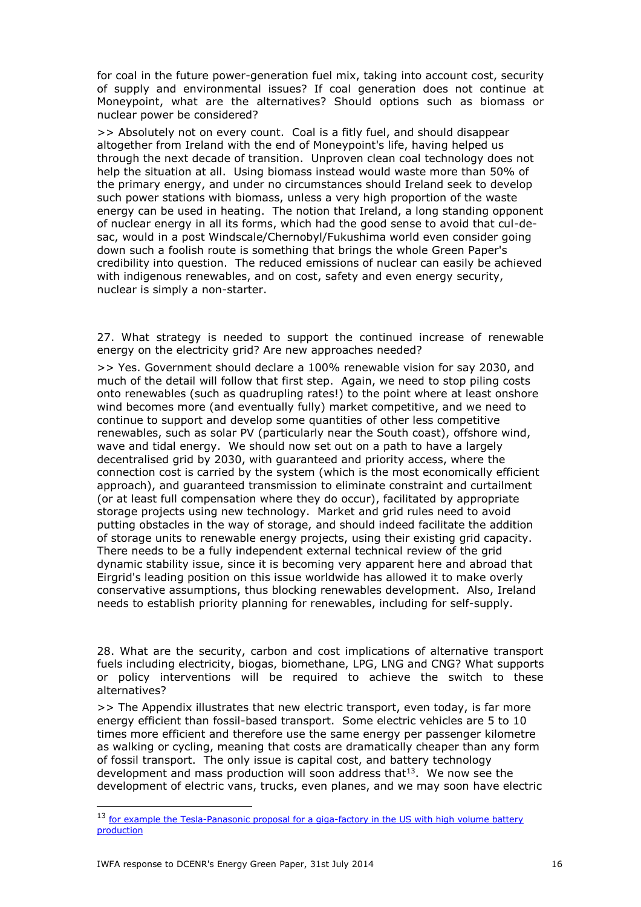for coal in the future power-generation fuel mix, taking into account cost, security of supply and environmental issues? If coal generation does not continue at Moneypoint, what are the alternatives? Should options such as biomass or nuclear power be considered?

>> Absolutely not on every count. Coal is a fitly fuel, and should disappear altogether from Ireland with the end of Moneypoint's life, having helped us through the next decade of transition. Unproven clean coal technology does not help the situation at all. Using biomass instead would waste more than 50% of the primary energy, and under no circumstances should Ireland seek to develop such power stations with biomass, unless a very high proportion of the waste energy can be used in heating. The notion that Ireland, a long standing opponent of nuclear energy in all its forms, which had the good sense to avoid that cul-desac, would in a post Windscale/Chernobyl/Fukushima world even consider going down such a foolish route is something that brings the whole Green Paper's credibility into question. The reduced emissions of nuclear can easily be achieved with indigenous renewables, and on cost, safety and even energy security, nuclear is simply a non-starter.

27. What strategy is needed to support the continued increase of renewable energy on the electricity grid? Are new approaches needed?

>> Yes. Government should declare a 100% renewable vision for say 2030, and much of the detail will follow that first step. Again, we need to stop piling costs onto renewables (such as quadrupling rates!) to the point where at least onshore wind becomes more (and eventually fully) market competitive, and we need to continue to support and develop some quantities of other less competitive renewables, such as solar PV (particularly near the South coast), offshore wind, wave and tidal energy. We should now set out on a path to have a largely decentralised grid by 2030, with guaranteed and priority access, where the connection cost is carried by the system (which is the most economically efficient approach), and guaranteed transmission to eliminate constraint and curtailment (or at least full compensation where they do occur), facilitated by appropriate storage projects using new technology. Market and grid rules need to avoid putting obstacles in the way of storage, and should indeed facilitate the addition of storage units to renewable energy projects, using their existing grid capacity. There needs to be a fully independent external technical review of the grid dynamic stability issue, since it is becoming very apparent here and abroad that Eirgrid's leading position on this issue worldwide has allowed it to make overly conservative assumptions, thus blocking renewables development. Also, Ireland needs to establish priority planning for renewables, including for self-supply.

28. What are the security, carbon and cost implications of alternative transport fuels including electricity, biogas, biomethane, LPG, LNG and CNG? What supports or policy interventions will be required to achieve the switch to these alternatives?

>> The Appendix illustrates that new electric transport, even today, is far more energy efficient than fossil-based transport. Some electric vehicles are 5 to 10 times more efficient and therefore use the same energy per passenger kilometre as walking or cycling, meaning that costs are dramatically cheaper than any form of fossil transport. The only issue is capital cost, and battery technology development and mass production will soon address that  $13$ . We now see the development of electric vans, trucks, even planes, and we may soon have electric

<sup>&</sup>lt;sup>13</sup> for example the Tesla-Panasonic proposal for a giga-factory in the US with high volume battery [production](http://www.teslamotors.com/about/press/releases/panasonic-and-tesla-sign-agreement-gigafactory)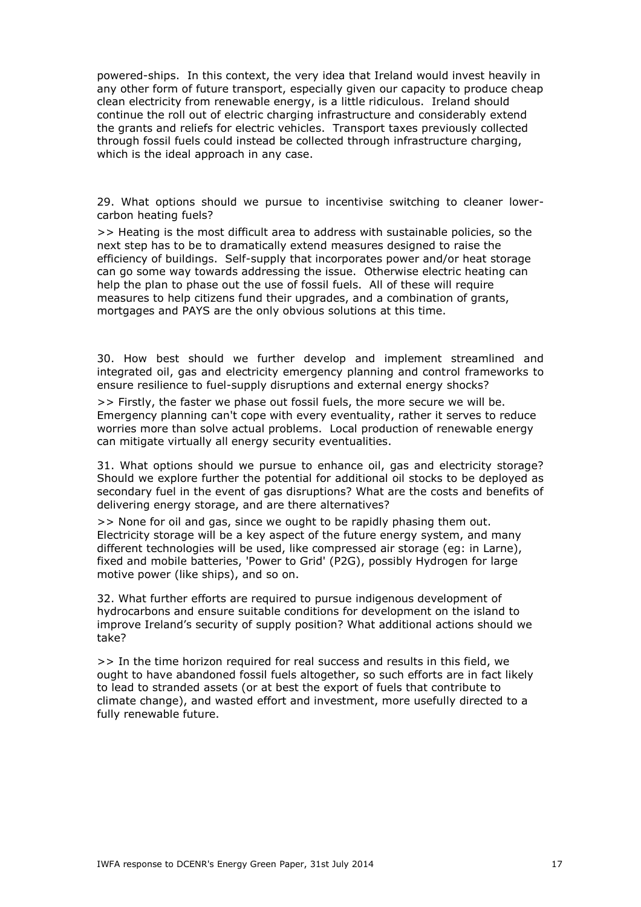powered-ships. In this context, the very idea that Ireland would invest heavily in any other form of future transport, especially given our capacity to produce cheap clean electricity from renewable energy, is a little ridiculous. Ireland should continue the roll out of electric charging infrastructure and considerably extend the grants and reliefs for electric vehicles. Transport taxes previously collected through fossil fuels could instead be collected through infrastructure charging, which is the ideal approach in any case.

29. What options should we pursue to incentivise switching to cleaner lowercarbon heating fuels?

>> Heating is the most difficult area to address with sustainable policies, so the next step has to be to dramatically extend measures designed to raise the efficiency of buildings. Self-supply that incorporates power and/or heat storage can go some way towards addressing the issue. Otherwise electric heating can help the plan to phase out the use of fossil fuels. All of these will require measures to help citizens fund their upgrades, and a combination of grants, mortgages and PAYS are the only obvious solutions at this time.

30. How best should we further develop and implement streamlined and integrated oil, gas and electricity emergency planning and control frameworks to ensure resilience to fuel-supply disruptions and external energy shocks?

>> Firstly, the faster we phase out fossil fuels, the more secure we will be. Emergency planning can't cope with every eventuality, rather it serves to reduce worries more than solve actual problems. Local production of renewable energy can mitigate virtually all energy security eventualities.

31. What options should we pursue to enhance oil, gas and electricity storage? Should we explore further the potential for additional oil stocks to be deployed as secondary fuel in the event of gas disruptions? What are the costs and benefits of delivering energy storage, and are there alternatives?

>> None for oil and gas, since we ought to be rapidly phasing them out. Electricity storage will be a key aspect of the future energy system, and many different technologies will be used, like compressed air storage (eg: in Larne), fixed and mobile batteries, 'Power to Grid' (P2G), possibly Hydrogen for large motive power (like ships), and so on.

32. What further efforts are required to pursue indigenous development of hydrocarbons and ensure suitable conditions for development on the island to improve Ireland's security of supply position? What additional actions should we take?

>> In the time horizon required for real success and results in this field, we ought to have abandoned fossil fuels altogether, so such efforts are in fact likely to lead to stranded assets (or at best the export of fuels that contribute to climate change), and wasted effort and investment, more usefully directed to a fully renewable future.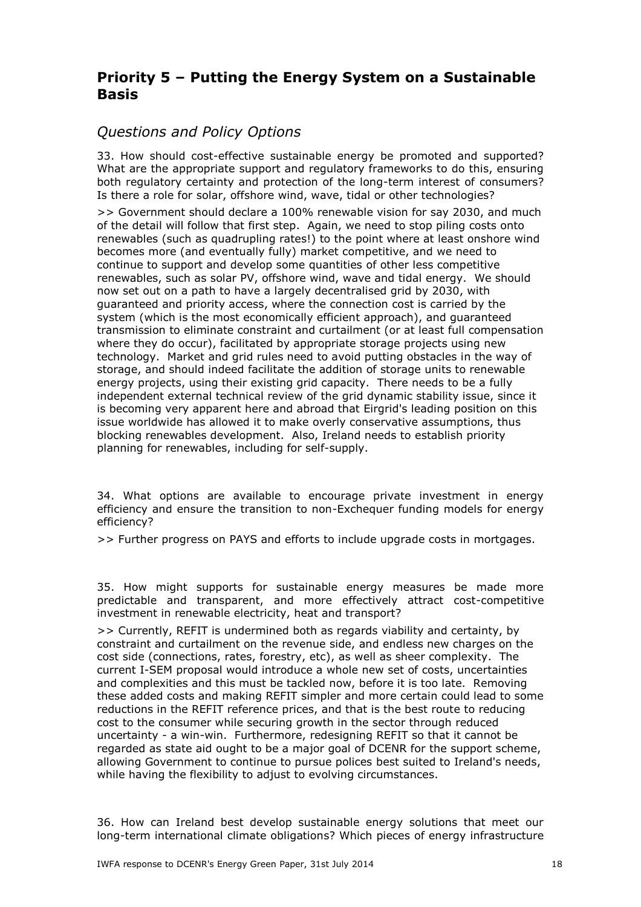# **Priority 5 – Putting the Energy System on a Sustainable Basis**

## *Questions and Policy Options*

33. How should cost-effective sustainable energy be promoted and supported? What are the appropriate support and regulatory frameworks to do this, ensuring both regulatory certainty and protection of the long-term interest of consumers? Is there a role for solar, offshore wind, wave, tidal or other technologies?

>> Government should declare a 100% renewable vision for say 2030, and much of the detail will follow that first step. Again, we need to stop piling costs onto renewables (such as quadrupling rates!) to the point where at least onshore wind becomes more (and eventually fully) market competitive, and we need to continue to support and develop some quantities of other less competitive renewables, such as solar PV, offshore wind, wave and tidal energy. We should now set out on a path to have a largely decentralised grid by 2030, with guaranteed and priority access, where the connection cost is carried by the system (which is the most economically efficient approach), and guaranteed transmission to eliminate constraint and curtailment (or at least full compensation where they do occur), facilitated by appropriate storage projects using new technology. Market and grid rules need to avoid putting obstacles in the way of storage, and should indeed facilitate the addition of storage units to renewable energy projects, using their existing grid capacity. There needs to be a fully independent external technical review of the grid dynamic stability issue, since it is becoming very apparent here and abroad that Eirgrid's leading position on this issue worldwide has allowed it to make overly conservative assumptions, thus blocking renewables development. Also, Ireland needs to establish priority planning for renewables, including for self-supply.

34. What options are available to encourage private investment in energy efficiency and ensure the transition to non-Exchequer funding models for energy efficiency?

>> Further progress on PAYS and efforts to include upgrade costs in mortgages.

35. How might supports for sustainable energy measures be made more predictable and transparent, and more effectively attract cost-competitive investment in renewable electricity, heat and transport?

>> Currently, REFIT is undermined both as regards viability and certainty, by constraint and curtailment on the revenue side, and endless new charges on the cost side (connections, rates, forestry, etc), as well as sheer complexity. The current I-SEM proposal would introduce a whole new set of costs, uncertainties and complexities and this must be tackled now, before it is too late. Removing these added costs and making REFIT simpler and more certain could lead to some reductions in the REFIT reference prices, and that is the best route to reducing cost to the consumer while securing growth in the sector through reduced uncertainty - a win-win. Furthermore, redesigning REFIT so that it cannot be regarded as state aid ought to be a major goal of DCENR for the support scheme, allowing Government to continue to pursue polices best suited to Ireland's needs, while having the flexibility to adjust to evolving circumstances.

36. How can Ireland best develop sustainable energy solutions that meet our long-term international climate obligations? Which pieces of energy infrastructure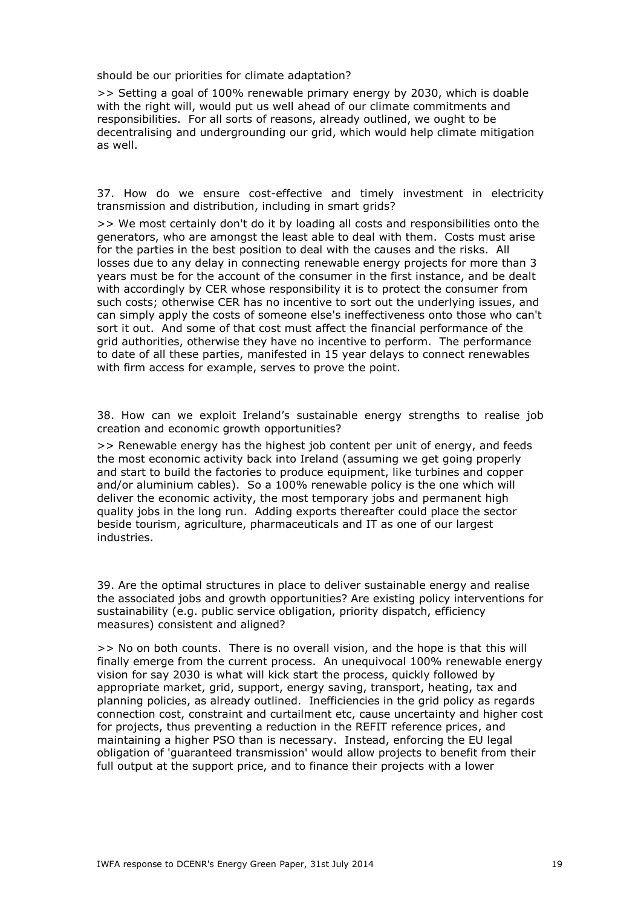should be our priorities for climate adaptation?

>> Setting a goal of 100% renewable primary energy by 2030, which is doable with the right will, would put us well ahead of our climate commitments and responsibilities. For all sorts of reasons, already outlined, we ought to be decentralising and undergrounding our grid, which would help climate mitigation as well.

37. How do we ensure cost-effective and timely investment in electricity transmission and distribution, including in smart grids?

>> We most certainly don't do it by loading all costs and responsibilities onto the generators, who are amongst the least able to deal with them. Costs must arise for the parties in the best position to deal with the causes and the risks. All losses due to any delay in connecting renewable energy projects for more than 3 years must be for the account of the consumer in the first instance, and be dealt with accordingly by CER whose responsibility it is to protect the consumer from such costs; otherwise CER has no incentive to sort out the underlying issues, and can simply apply the costs of someone else's ineffectiveness onto those who can't sort it out. And some of that cost must affect the financial performance of the grid authorities, otherwise they have no incentive to perform. The performance to date of all these parties, manifested in 15 year delays to connect renewables with firm access for example, serves to prove the point.

38. How can we exploit Ireland's sustainable energy strengths to realise job creation and economic growth opportunities?

>> Renewable energy has the highest job content per unit of energy, and feeds the most economic activity back into Ireland (assuming we get going properly and start to build the factories to produce equipment, like turbines and copper and/or aluminium cables). So a 100% renewable policy is the one which will deliver the economic activity, the most temporary jobs and permanent high quality jobs in the long run. Adding exports thereafter could place the sector beside tourism, agriculture, pharmaceuticals and IT as one of our largest industries.

39. Are the optimal structures in place to deliver sustainable energy and realise the associated jobs and growth opportunities? Are existing policy interventions for sustainability (e.g. public service obligation, priority dispatch, efficiency measures) consistent and aligned?

>> No on both counts. There is no overall vision, and the hope is that this will finally emerge from the current process. An unequivocal 100% renewable energy vision for say 2030 is what will kick start the process, quickly followed by appropriate market, grid, support, energy saving, transport, heating, tax and planning policies, as already outlined. Inefficiencies in the grid policy as regards connection cost, constraint and curtailment etc, cause uncertainty and higher cost for projects, thus preventing a reduction in the REFIT reference prices, and maintaining a higher PSO than is necessary. Instead, enforcing the EU legal obligation of 'guaranteed transmission' would allow projects to benefit from their full output at the support price, and to finance their projects with a lower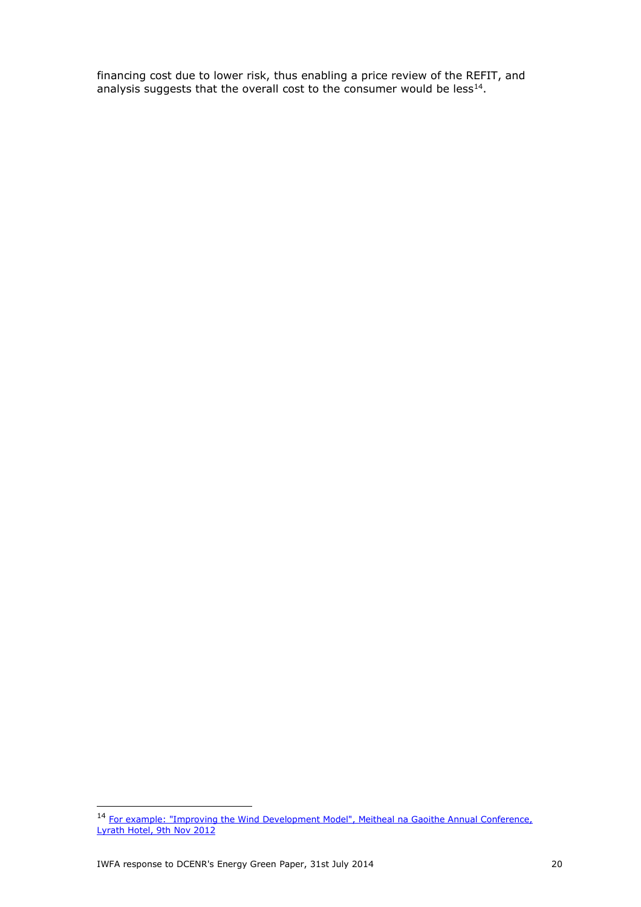financing cost due to lower risk, thus enabling a price review of the REFIT, and analysis suggests that the overall cost to the consumer would be less $^{14}$ .

<sup>&</sup>lt;sup>14</sup> For example: "Improving the Wind Development Model", Meitheal na Gaoithe Annual Conference, [Lyrath Hotel, 9th](http://www.ierne.ie/Ierne_Wind_Energy_Consulting_Ltd/Publications.html) Nov 2012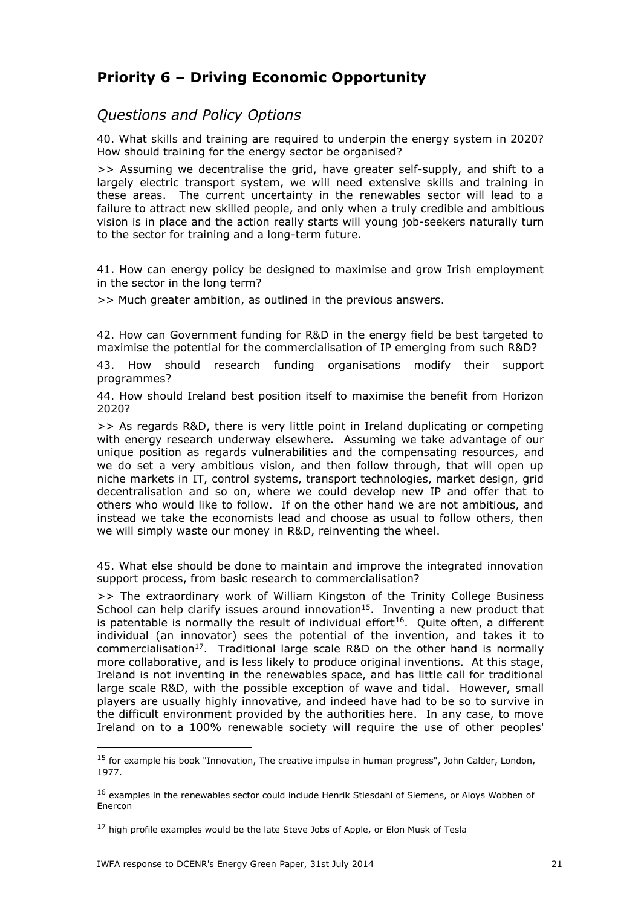# **Priority 6 – Driving Economic Opportunity**

#### *Questions and Policy Options*

40. What skills and training are required to underpin the energy system in 2020? How should training for the energy sector be organised?

>> Assuming we decentralise the grid, have greater self-supply, and shift to a largely electric transport system, we will need extensive skills and training in these areas. The current uncertainty in the renewables sector will lead to a failure to attract new skilled people, and only when a truly credible and ambitious vision is in place and the action really starts will young job-seekers naturally turn to the sector for training and a long-term future.

41. How can energy policy be designed to maximise and grow Irish employment in the sector in the long term?

>> Much greater ambition, as outlined in the previous answers.

42. How can Government funding for R&D in the energy field be best targeted to maximise the potential for the commercialisation of IP emerging from such R&D?

43. How should research funding organisations modify their support programmes?

44. How should Ireland best position itself to maximise the benefit from Horizon 2020?

>> As regards R&D, there is very little point in Ireland duplicating or competing with energy research underway elsewhere. Assuming we take advantage of our unique position as regards vulnerabilities and the compensating resources, and we do set a very ambitious vision, and then follow through, that will open up niche markets in IT, control systems, transport technologies, market design, grid decentralisation and so on, where we could develop new IP and offer that to others who would like to follow. If on the other hand we are not ambitious, and instead we take the economists lead and choose as usual to follow others, then we will simply waste our money in R&D, reinventing the wheel.

45. What else should be done to maintain and improve the integrated innovation support process, from basic research to commercialisation?

>> The extraordinary work of William Kingston of the Trinity College Business School can help clarify issues around innovation<sup>15</sup>. Inventing a new product that is patentable is normally the result of individual effort<sup>16</sup>. Quite often, a different individual (an innovator) sees the potential of the invention, and takes it to commercialisation<sup>17</sup>. Traditional large scale R&D on the other hand is normally more collaborative, and is less likely to produce original inventions. At this stage, Ireland is not inventing in the renewables space, and has little call for traditional large scale R&D, with the possible exception of wave and tidal. However, small players are usually highly innovative, and indeed have had to be so to survive in the difficult environment provided by the authorities here. In any case, to move Ireland on to a 100% renewable society will require the use of other peoples'

<sup>&</sup>lt;sup>15</sup> for example his book "Innovation, The creative impulse in human progress", John Calder, London, 1977.

<sup>&</sup>lt;sup>16</sup> examples in the renewables sector could include Henrik Stiesdahl of Siemens, or Aloys Wobben of Enercon

 $17$  high profile examples would be the late Steve Jobs of Apple, or Elon Musk of Tesla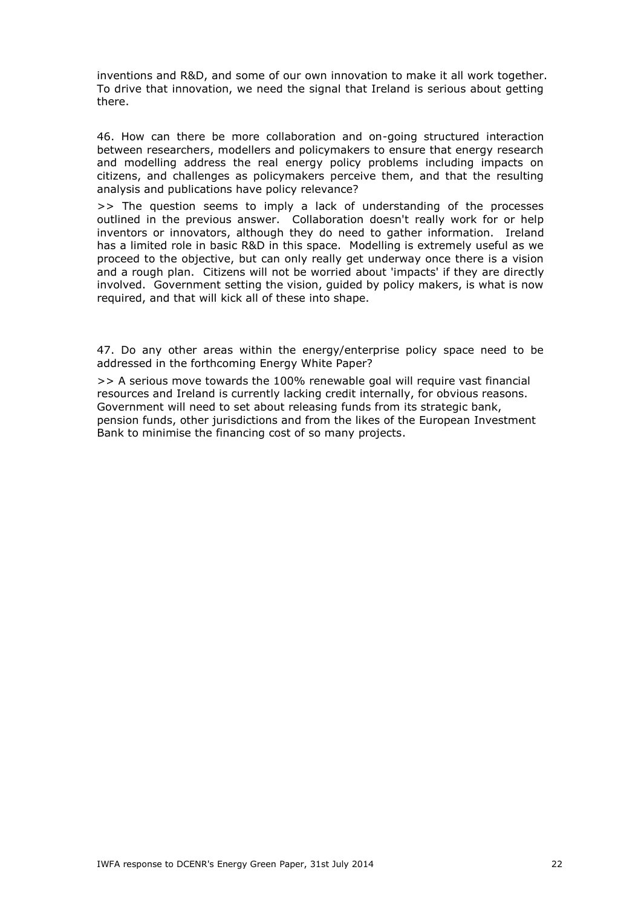inventions and R&D, and some of our own innovation to make it all work together. To drive that innovation, we need the signal that Ireland is serious about getting there.

46. How can there be more collaboration and on-going structured interaction between researchers, modellers and policymakers to ensure that energy research and modelling address the real energy policy problems including impacts on citizens, and challenges as policymakers perceive them, and that the resulting analysis and publications have policy relevance?

>> The question seems to imply a lack of understanding of the processes outlined in the previous answer. Collaboration doesn't really work for or help inventors or innovators, although they do need to gather information. Ireland has a limited role in basic R&D in this space. Modelling is extremely useful as we proceed to the objective, but can only really get underway once there is a vision and a rough plan. Citizens will not be worried about 'impacts' if they are directly involved. Government setting the vision, guided by policy makers, is what is now required, and that will kick all of these into shape.

47. Do any other areas within the energy/enterprise policy space need to be addressed in the forthcoming Energy White Paper?

>> A serious move towards the 100% renewable goal will require vast financial resources and Ireland is currently lacking credit internally, for obvious reasons. Government will need to set about releasing funds from its strategic bank, pension funds, other jurisdictions and from the likes of the European Investment Bank to minimise the financing cost of so many projects.